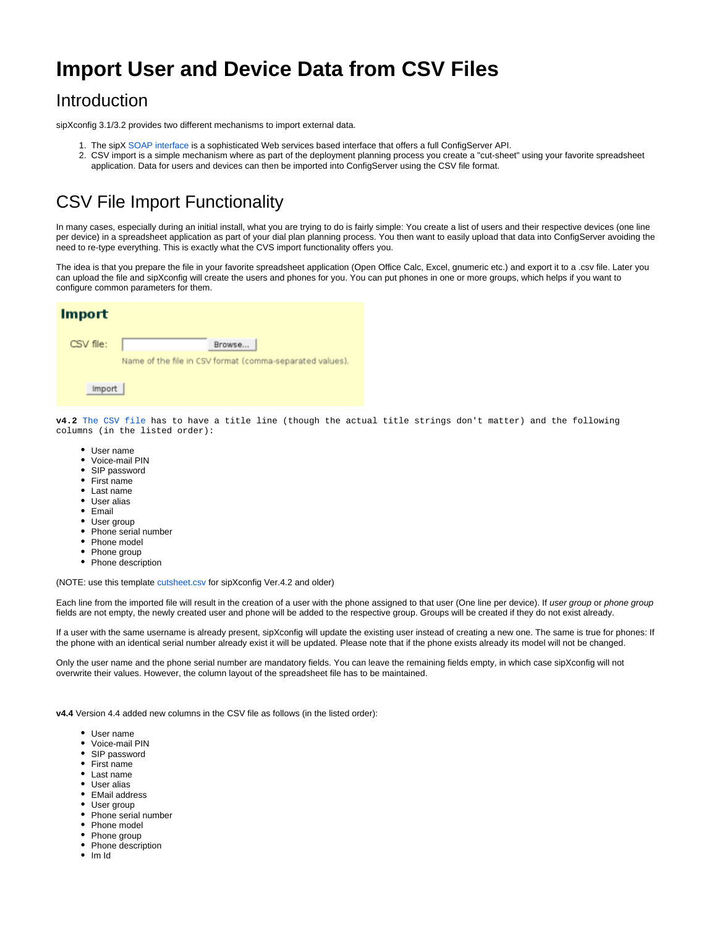## **Import User and Device Data from CSV Files**

## Introduction

sipXconfig 3.1/3.2 provides two different mechanisms to import external data.

- 1. The sipX [SOAP interface](https://wiki.ezuce.com/display/sipXcom/Configuration+SOAP+API) is a sophisticated Web services based interface that offers a full ConfigServer API.
- 2. CSV import is a simple mechanism where as part of the deployment planning process you create a "cut-sheet" using your favorite spreadsheet application. Data for users and devices can then be imported into ConfigServer using the CSV file format.

## CSV File Import Functionality

In many cases, especially during an initial install, what you are trying to do is fairly simple: You create a list of users and their respective devices (one line per device) in a spreadsheet application as part of your dial plan planning process. You then want to easily upload that data into ConfigServer avoiding the need to re-type everything. This is exactly what the CVS import functionality offers you.

The idea is that you prepare the file in your favorite spreadsheet application (Open Office Calc, Excel, gnumeric etc.) and export it to a .csv file. Later you can upload the file and sipXconfig will create the users and phones for you. You can put phones in one or more groups, which helps if you want to configure common parameters for them.

| <b>Import</b> |                                                          |
|---------------|----------------------------------------------------------|
| CSV file:     | Browse                                                   |
|               | Name of the file in CSV format (comma-separated values). |
| Import        |                                                          |

**v4.2** [The CSV file](https://github.com/dhubler/sipxecs/blob/release-4.2/sipXconfig/neoconf/test/org/sipfoundry/sipxconfig/bulk/csv/cutsheet.csv) has to have a title line (though the actual title strings don't matter) and the following columns (in the listed order):

- User name
- Voice-mail PIN
- SIP password
- First name
- Last name
- User alias
- $Fmail$
- User group
- Phone serial number
- Phone model
- Phone group
- Phone description

(NOTE: use this template [cutsheet.csv](https://github.com/dhubler/sipxecs/blob/release-4.2/sipXconfig/neoconf/test/org/sipfoundry/sipxconfig/bulk/csv/cutsheet.csv) for sipXconfig Ver.4.2 and older)

Each line from the imported file will result in the creation of a user with the phone assigned to that user (One line per device). If user group or phone group fields are not empty, the newly created user and phone will be added to the respective group. Groups will be created if they do not exist already.

If a user with the same username is already present, sipXconfig will update the existing user instead of creating a new one. The same is true for phones: If the phone with an identical serial number already exist it will be updated. Please note that if the phone exists already its model will not be changed.

Only the user name and the phone serial number are mandatory fields. You can leave the remaining fields empty, in which case sipXconfig will not overwrite their values. However, the column layout of the spreadsheet file has to be maintained.

**v4.4** Version 4.4 added new columns in the CSV file as follows (in the listed order):

- User name
- Voice-mail PIN
- SIP password
- First name
- Last name
- User alias
- EMail address
- User group
- Phone serial number
- Phone model
- Phone group
- Phone description
- Im Id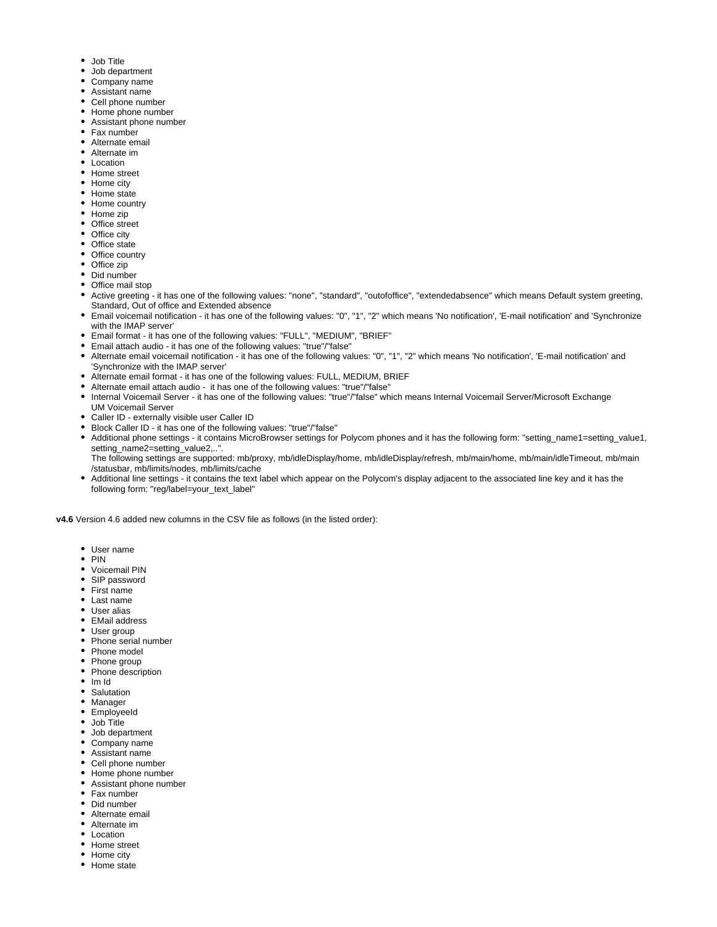- Job Title
- Job department
- Company name
- Assistant name
- Cell phone number
- Home phone number
- Assistant phone number
- Fax number
- Alternate email
- Alternate im
- Location
- Home street
- Home city
- Home state
- Home country
- Home zip
- Office street
- Office city
- Office state
- Office country
- Office zip
- Did number
- Office mail stop
- Active greeting it has one of the following values: "none", "standard", "outofoffice", "extendedabsence" which means Default system greeting, Standard, Out of office and Extended absence
- Email voicemail notification it has one of the following values: "0", "1", "2" which means 'No notification', 'E-mail notification' and 'Synchronize with the IMAP server'
- Email format it has one of the following values: "FULL", "MEDIUM", "BRIEF"
- Email attach audio it has one of the following values: "true"/"false"
- Alternate email voicemail notification it has one of the following values: "0", "1", "2" which means 'No notification', 'E-mail notification' and 'Synchronize with the IMAP server'
- Alternate email format it has one of the following values: FULL, MEDIUM, BRIEF
- Alternate email attach audio it has one of the following values: "true"/"false"
- Internal Voicemail Server it has one of the following values: "true"/"false" which means Internal Voicemail Server/Microsoft Exchange UM Voicemail Server
- Caller ID externally visible user Caller ID
- Block Caller ID it has one of the following values: "true"/"false"
- Additional phone settings it contains MicroBrowser settings for Polycom phones and it has the following form: "setting\_name1=setting\_value1, setting\_name2=setting\_value2,..".

/statusbar, mb/limits/nodes, mb/limits/cache

 $\bullet$ following form: "reg/label=your\_text\_label"

- User name
- $\bullet$  PIN
- Voicemail PIN
- SIP password
- First name
- Last name
- User alias
- EMail address
- User group
- Phone serial number
- Phone model
- Phone group
- Phone description
- Im Id
- Salutation
- Manager
- EmployeeId
- Job Title
- Job department
- Company name
- Assistant name
- Cell phone number
- Home phone number
- Assistant phone number
- Fax number
- Did number
- Alternate email
- Alternate im
- Location
- Home street
- Home city
- Home state
- The following settings are supported: mb/proxy, mb/idleDisplay/home, mb/idleDisplay/refresh, mb/main/home, mb/main/idleTimeout, mb/main
- Additional line settings it contains the text label which appear on the Polycom's display adjacent to the associated line key and it has the

**v4.6** Version 4.6 added new columns in the CSV file as follows (in the listed order):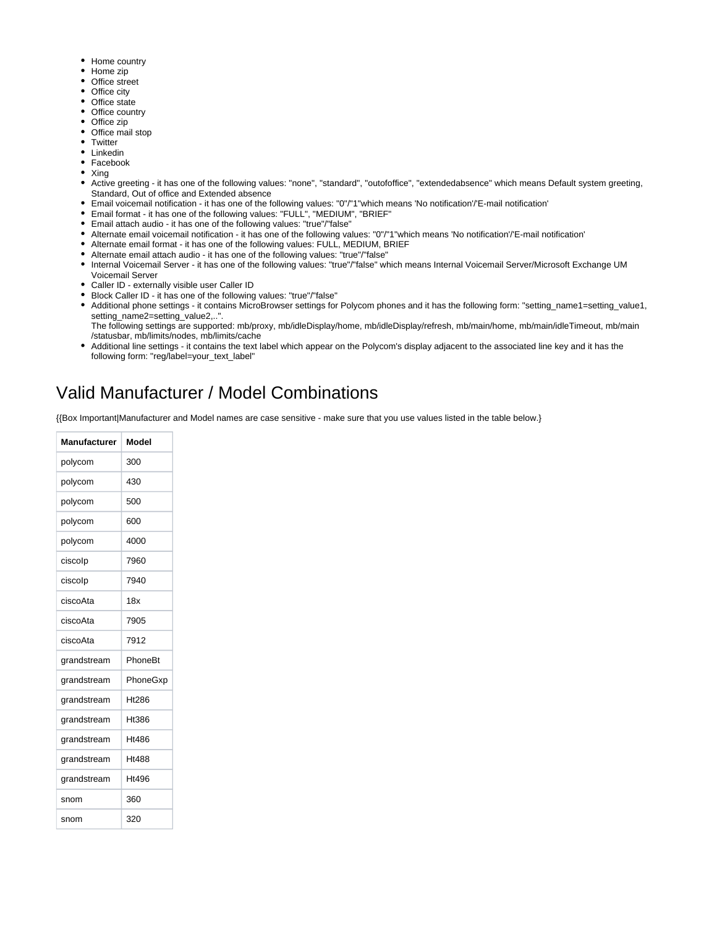- Home country
- Home zip
- Office street
- Office city
- Office state
- Office country
- Office zip • Office mail stop
- **Twitter**
- Linkedin
- Facebook
- Xing
- Active greeting it has one of the following values: "none", "standard", "outofoffice", "extendedabsence" which means Default system greeting, Standard, Out of office and Extended absence
- Email voicemail notification it has one of the following values: "0"/"1"which means 'No notification'/'E-mail notification'
- Email format it has one of the following values: "FULL", "MEDIUM", "BRIEF"
- Email attach audio it has one of the following values: "true"/"false"
- Alternate email voicemail notification it has one of the following values: "0"/"1"which means 'No notification'/'E-mail notification'
- Alternate email format it has one of the following values: FULL, MEDIUM, BRIEF
- Alternate email attach audio it has one of the following values: "true"/"false"
- Internal Voicemail Server it has one of the following values: "true"/"false" which means Internal Voicemail Server/Microsoft Exchange UM
- Voicemail Server Caller ID - externally visible user Caller ID
- 
- Block Caller ID it has one of the following values: "true"/"false"
- Additional phone settings it contains MicroBrowser settings for Polycom phones and it has the following form: "setting\_name1=setting\_value1, setting\_name2=setting\_value2,..".
- The following settings are supported: mb/proxy, mb/idleDisplay/home, mb/idleDisplay/refresh, mb/main/home, mb/main/idleTimeout, mb/main /statusbar, mb/limits/nodes, mb/limits/cache
- Additional line settings it contains the text label which appear on the Polycom's display adjacent to the associated line key and it has the following form: "reg/label=your\_text\_label"

## Valid Manufacturer / Model Combinations

{{Box Important|Manufacturer and Model names are case sensitive - make sure that you use values listed in the table below.}

| Manufacturer | Model             |
|--------------|-------------------|
| polycom      | 300               |
| polycom      | 430               |
| polycom      | 500               |
| polycom      | 600               |
| polycom      | 4000              |
| ciscolp      | 7960              |
| ciscolp      | 7940              |
| ciscoAta     | 18x               |
| ciscoAta     | 7905              |
| ciscoAta     | 7912              |
| grandstream  | PhoneBt           |
| grandstream  | PhoneGxp          |
| grandstream  | Ht286             |
| grandstream  | Ht386             |
| grandstream  | Ht486             |
| grandstream  | H <sub>1488</sub> |
| grandstream  | Ht496             |
| snom         | 360               |
| snom         | 320               |